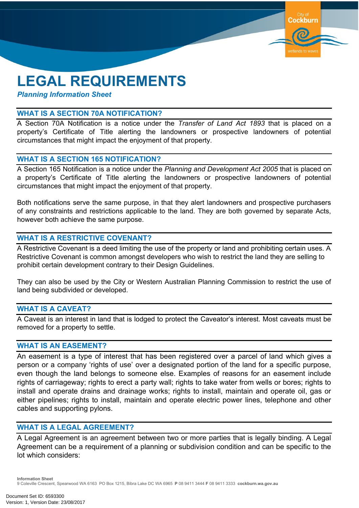# **LEGAL REQUIREMENTS**

*Planning Information Sheet*

#### **WHAT IS A SECTION 70A NOTIFICATION?**

A Section 70A Notification is a notice under the *Transfer of Land Act 1893* that is placed on a property's Certificate of Title alerting the landowners or prospective landowners of potential circumstances that might impact the enjoyment of that property.

**Cockburn** 

vetlands to wa

# **WHAT IS A SECTION 165 NOTIFICATION?**

A Section 165 Notification is a notice under the *Planning and Development Act 2005* that is placed on a property's Certificate of Title alerting the landowners or prospective landowners of potential circumstances that might impact the enjoyment of that property.

Both notifications serve the same purpose, in that they alert landowners and prospective purchasers of any constraints and restrictions applicable to the land. They are both governed by separate Acts, however both achieve the same purpose.

## **WHAT IS A RESTRICTIVE COVENANT?**

A Restrictive Covenant is a deed limiting the use of the property or land and prohibiting certain uses. A Restrictive Covenant is common amongst developers who wish to restrict the land they are selling to prohibit certain development contrary to their Design Guidelines.

They can also be used by the City or Western Australian Planning Commission to restrict the use of land being subdivided or developed.

# **WHAT IS A CAVEAT?**

A Caveat is an interest in land that is lodged to protect the Caveator's interest. Most caveats must be removed for a property to settle.

# **WHAT IS AN EASEMENT?**

An easement is a type of interest that has been registered over a parcel of land which gives a person or a company 'rights of use' over a designated portion of the land for a specific purpose, even though the land belongs to someone else. Examples of reasons for an easement include rights of carriageway; rights to erect a party wall; rights to take water from wells or bores; rights to install and operate drains and drainage works; rights to install, maintain and operate oil, gas or either pipelines; rights to install, maintain and operate electric power lines, telephone and other cables and supporting pylons.

# **WHAT IS A LEGAL AGREEMENT?**

A Legal Agreement is an agreement between two or more parties that is legally binding. A Legal Agreement can be a requirement of a planning or subdivision condition and can be specific to the lot which considers:

**Information Sheet** 9 Coleville Crescent, Spearwood WA 6163 PO Box 1215, Bibra Lake DC WA 6965 **P** 08 9411 3444 **F** 08 9411 3333 **cockburn.wa.gov.au**